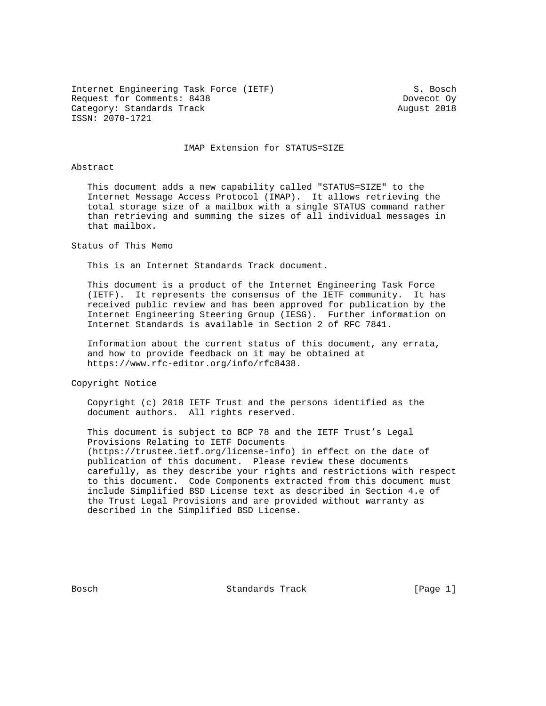Internet Engineering Task Force (IETF) S. Bosch Request for Comments: 8438 Dovecot Oy Category: Standards Track August 2018 ISSN: 2070-1721

## IMAP Extension for STATUS=SIZE

## Abstract

 This document adds a new capability called "STATUS=SIZE" to the Internet Message Access Protocol (IMAP). It allows retrieving the total storage size of a mailbox with a single STATUS command rather than retrieving and summing the sizes of all individual messages in that mailbox.

Status of This Memo

This is an Internet Standards Track document.

 This document is a product of the Internet Engineering Task Force (IETF). It represents the consensus of the IETF community. It has received public review and has been approved for publication by the Internet Engineering Steering Group (IESG). Further information on Internet Standards is available in Section 2 of RFC 7841.

 Information about the current status of this document, any errata, and how to provide feedback on it may be obtained at https://www.rfc-editor.org/info/rfc8438.

Copyright Notice

 Copyright (c) 2018 IETF Trust and the persons identified as the document authors. All rights reserved.

 This document is subject to BCP 78 and the IETF Trust's Legal Provisions Relating to IETF Documents (https://trustee.ietf.org/license-info) in effect on the date of publication of this document. Please review these documents carefully, as they describe your rights and restrictions with respect to this document. Code Components extracted from this document must include Simplified BSD License text as described in Section 4.e of the Trust Legal Provisions and are provided without warranty as described in the Simplified BSD License.

Bosch Standards Track [Page 1]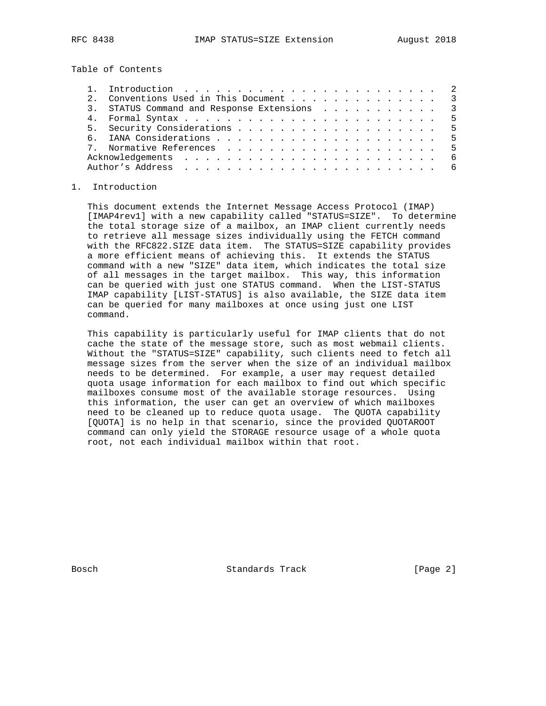Table of Contents

|  | Conventions Used in This Document 3         |  |
|--|---------------------------------------------|--|
|  | 3. STATUS Command and Response Extensions 3 |  |
|  |                                             |  |
|  |                                             |  |
|  |                                             |  |
|  |                                             |  |
|  |                                             |  |
|  |                                             |  |

## 1. Introduction

 This document extends the Internet Message Access Protocol (IMAP) [IMAP4rev1] with a new capability called "STATUS=SIZE". To determine the total storage size of a mailbox, an IMAP client currently needs to retrieve all message sizes individually using the FETCH command with the RFC822.SIZE data item. The STATUS=SIZE capability provides a more efficient means of achieving this. It extends the STATUS command with a new "SIZE" data item, which indicates the total size of all messages in the target mailbox. This way, this information can be queried with just one STATUS command. When the LIST-STATUS IMAP capability [LIST-STATUS] is also available, the SIZE data item can be queried for many mailboxes at once using just one LIST command.

 This capability is particularly useful for IMAP clients that do not cache the state of the message store, such as most webmail clients. Without the "STATUS=SIZE" capability, such clients need to fetch all message sizes from the server when the size of an individual mailbox needs to be determined. For example, a user may request detailed quota usage information for each mailbox to find out which specific mailboxes consume most of the available storage resources. Using this information, the user can get an overview of which mailboxes need to be cleaned up to reduce quota usage. The QUOTA capability [QUOTA] is no help in that scenario, since the provided QUOTAROOT command can only yield the STORAGE resource usage of a whole quota root, not each individual mailbox within that root.

Bosch Standards Track [Page 2]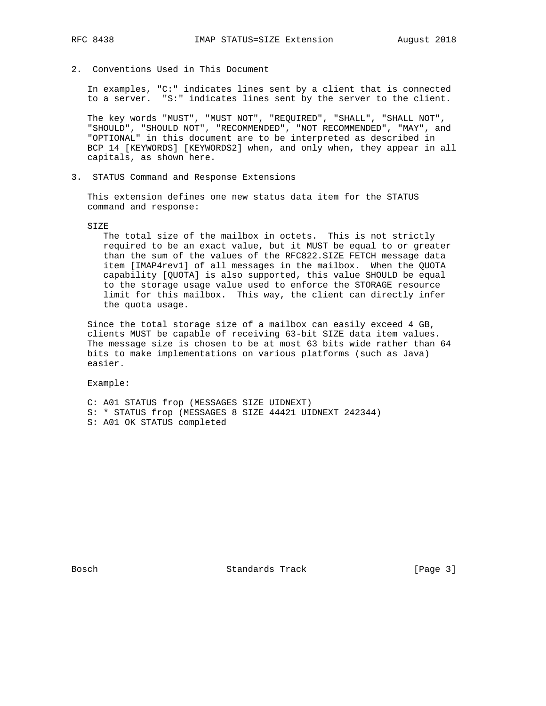- 
- 2. Conventions Used in This Document

 In examples, "C:" indicates lines sent by a client that is connected to a server. "S:" indicates lines sent by the server to the client.

 The key words "MUST", "MUST NOT", "REQUIRED", "SHALL", "SHALL NOT", "SHOULD", "SHOULD NOT", "RECOMMENDED", "NOT RECOMMENDED", "MAY", and "OPTIONAL" in this document are to be interpreted as described in BCP 14 [KEYWORDS] [KEYWORDS2] when, and only when, they appear in all capitals, as shown here.

3. STATUS Command and Response Extensions

 This extension defines one new status data item for the STATUS command and response:

SIZE

 The total size of the mailbox in octets. This is not strictly required to be an exact value, but it MUST be equal to or greater than the sum of the values of the RFC822.SIZE FETCH message data item [IMAP4rev1] of all messages in the mailbox. When the QUOTA capability [QUOTA] is also supported, this value SHOULD be equal to the storage usage value used to enforce the STORAGE resource limit for this mailbox. This way, the client can directly infer the quota usage.

 Since the total storage size of a mailbox can easily exceed 4 GB, clients MUST be capable of receiving 63-bit SIZE data item values. The message size is chosen to be at most 63 bits wide rather than 64 bits to make implementations on various platforms (such as Java) easier.

Example:

 C: A01 STATUS frop (MESSAGES SIZE UIDNEXT) S: \* STATUS frop (MESSAGES 8 SIZE 44421 UIDNEXT 242344) S: A01 OK STATUS completed

Bosch Standards Track [Page 3]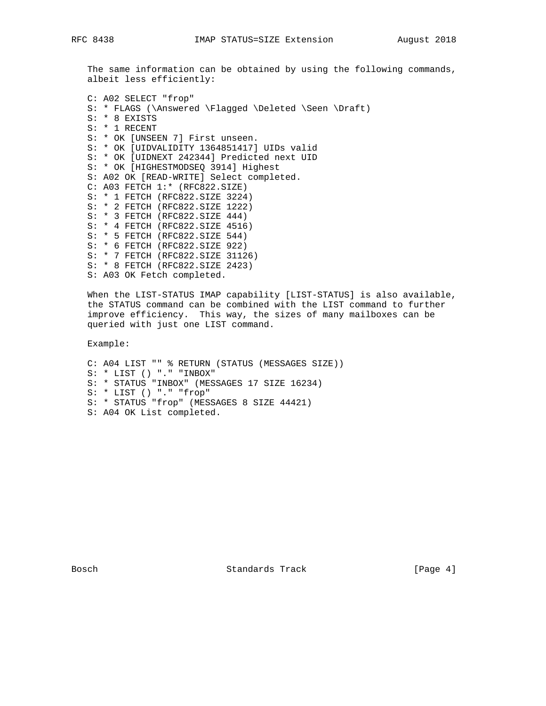The same information can be obtained by using the following commands, albeit less efficiently:

 C: A02 SELECT "frop" S: \* FLAGS (\Answered \Flagged \Deleted \Seen \Draft) S: \* 8 EXISTS S: \* 1 RECENT S: \* OK [UNSEEN 7] First unseen. S: \* OK [UIDVALIDITY 1364851417] UIDs valid S: \* OK [UIDNEXT 242344] Predicted next UID S: \* OK [HIGHESTMODSEQ 3914] Highest S: A02 OK [READ-WRITE] Select completed. C: A03 FETCH 1:\* (RFC822.SIZE) S: \* 1 FETCH (RFC822.SIZE 3224) S: \* 2 FETCH (RFC822.SIZE 1222) S: \* 3 FETCH (RFC822.SIZE 444) S: \* 4 FETCH (RFC822.SIZE 4516) S: \* 5 FETCH (RFC822.SIZE 544) S: \* 6 FETCH (RFC822.SIZE 922) S: \* 7 FETCH (RFC822.SIZE 31126) S: \* 8 FETCH (RFC822.SIZE 2423) S: A03 OK Fetch completed.

 When the LIST-STATUS IMAP capability [LIST-STATUS] is also available, the STATUS command can be combined with the LIST command to further improve efficiency. This way, the sizes of many mailboxes can be queried with just one LIST command.

Example:

 C: A04 LIST "" % RETURN (STATUS (MESSAGES SIZE)) S: \* LIST () "." "INBOX" S: \* STATUS "INBOX" (MESSAGES 17 SIZE 16234) S: \* LIST () "." "frop" S: \* STATUS "frop" (MESSAGES 8 SIZE 44421) S: A04 OK List completed.

Bosch Standards Track [Page 4]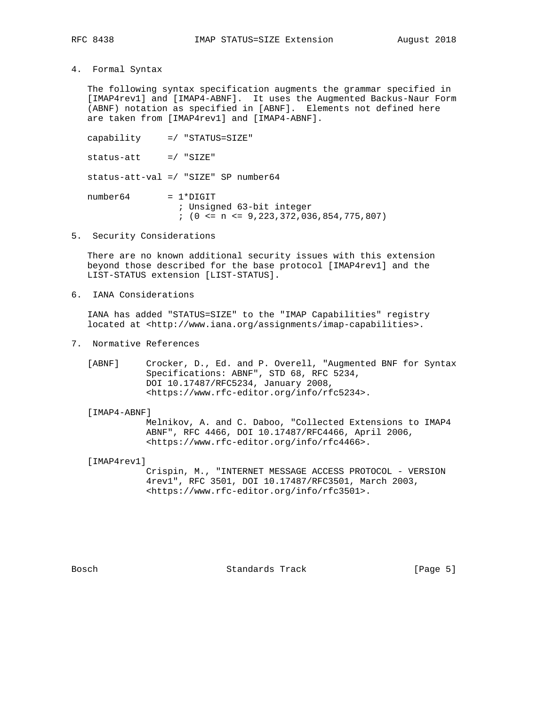4. Formal Syntax

 The following syntax specification augments the grammar specified in [IMAP4rev1] and [IMAP4-ABNF]. It uses the Augmented Backus-Naur Form (ABNF) notation as specified in [ABNF]. Elements not defined here are taken from [IMAP4rev1] and [IMAP4-ABNF].

 capability =/ "STATUS=SIZE"  $status-att$  =/ " $SLZE$ " status-att-val =/ "SIZE" SP number64  $number64 = 1*DiffIT$  ; Unsigned 63-bit integer ; (0 <= n <= 9,223,372,036,854,775,807)

5. Security Considerations

 There are no known additional security issues with this extension beyond those described for the base protocol [IMAP4rev1] and the LIST-STATUS extension [LIST-STATUS].

6. IANA Considerations

 IANA has added "STATUS=SIZE" to the "IMAP Capabilities" registry located at <http://www.iana.org/assignments/imap-capabilities>.

7. Normative References

 [ABNF] Crocker, D., Ed. and P. Overell, "Augmented BNF for Syntax Specifications: ABNF", STD 68, RFC 5234, DOI 10.17487/RFC5234, January 2008, <https://www.rfc-editor.org/info/rfc5234>.

[IMAP4-ABNF]

 Melnikov, A. and C. Daboo, "Collected Extensions to IMAP4 ABNF", RFC 4466, DOI 10.17487/RFC4466, April 2006, <https://www.rfc-editor.org/info/rfc4466>.

[IMAP4rev1]

 Crispin, M., "INTERNET MESSAGE ACCESS PROTOCOL - VERSION 4rev1", RFC 3501, DOI 10.17487/RFC3501, March 2003, <https://www.rfc-editor.org/info/rfc3501>.

Bosch Standards Track [Page 5]